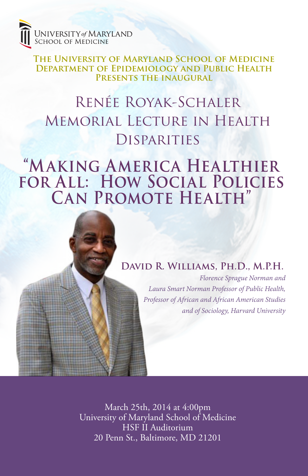

**The University of Maryland School of Medicine Department of Epidemiology and Public Health Presents the inaugural**

# Renée Royak-Schaler Memorial Lecture in Health **DISPARITIES**

## **"Making America Healthier for All: How Social Policies Can Promote Health"**



*Florence Sprague Norman and Laura Smart Norman Professor of Public Health, Professor of African and African American Studies and of Sociology, Harvard University*

March 25th, 2014 at 4:00pm University of Maryland School of Medicine HSF II Auditorium 20 Penn St., Baltimore, MD 21201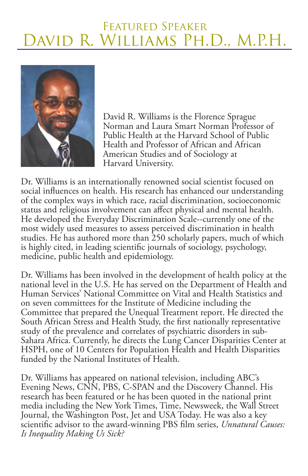### Featured Speaker David R. Williams Ph.D., M.P.H.



David R. Williams is the Florence Sprague Norman and Laura Smart Norman Professor of Public Health at the Harvard School of Public Health and Professor of African and African American Studies and of Sociology at Harvard University.

Dr. Williams is an internationally renowned social scientist focused on social influences on health. His research has enhanced our understanding of the complex ways in which race, racial discrimination, socioeconomic status and religious involvement can affect physical and mental health. He developed the Everyday Discrimination Scale--currently one of the most widely used measures to assess perceived discrimination in health studies. He has authored more than 250 scholarly papers, much of which is highly cited, in leading scientific journals of sociology, psychology, medicine, public health and epidemiology.

Dr. Williams has been involved in the development of health policy at the national level in the U.S. He has served on the Department of Health and Human Services' National Committee on Vital and Health Statistics and on seven committees for the Institute of Medicine including the Committee that prepared the Unequal Treatment report. He directed the South African Stress and Health Study, the first nationally representative study of the prevalence and correlates of psychiatric disorders in sub-Sahara Africa. Currently, he directs the Lung Cancer Disparities Center at HSPH, one of 10 Centers for Population Health and Health Disparities funded by the National Institutes of Health.

Dr. Williams has appeared on national television, including ABC's Evening News, CNN, PBS, C-SPAN and the Discovery Channel. His research has been featured or he has been quoted in the national print media including the New York Times, Time, Newsweek, the Wall Street Journal, the Washington Post, Jet and USA Today. He was also a key scientific advisor to the award-winning PBS film series, *Unnatural Causes: Is Inequality Making Us Sick?*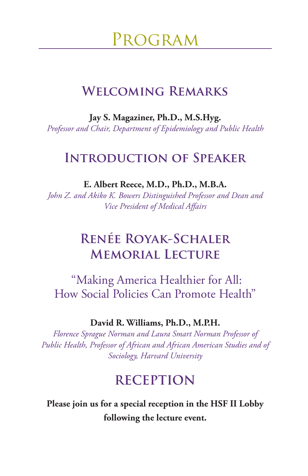Program

#### **Welcoming Remarks**

**Jay S. Magaziner, Ph.D., M.S.Hyg.**  *Professor and Chair, Department of Epidemiology and Public Health*

#### **Introduction of Speaker**

**E. Albert Reece, M.D., Ph.D., M.B.A.** 

*John Z. and Akiko K. Bowers Distinguished Professor and Dean and Vice President of Medical Affairs*

### **Renée Royak-Schaler Memorial Lecture**

 "Making America Healthier for All: How Social Policies Can Promote Health"

#### **David R. Williams, Ph.D., M.P.H.**

*Florence Sprague Norman and Laura Smart Norman Professor of Public Health, Professor of African and African American Studies and of Sociology, Harvard University*

#### **RECEPTION**

**Please join us for a special reception in the HSF II Lobby following the lecture event.**